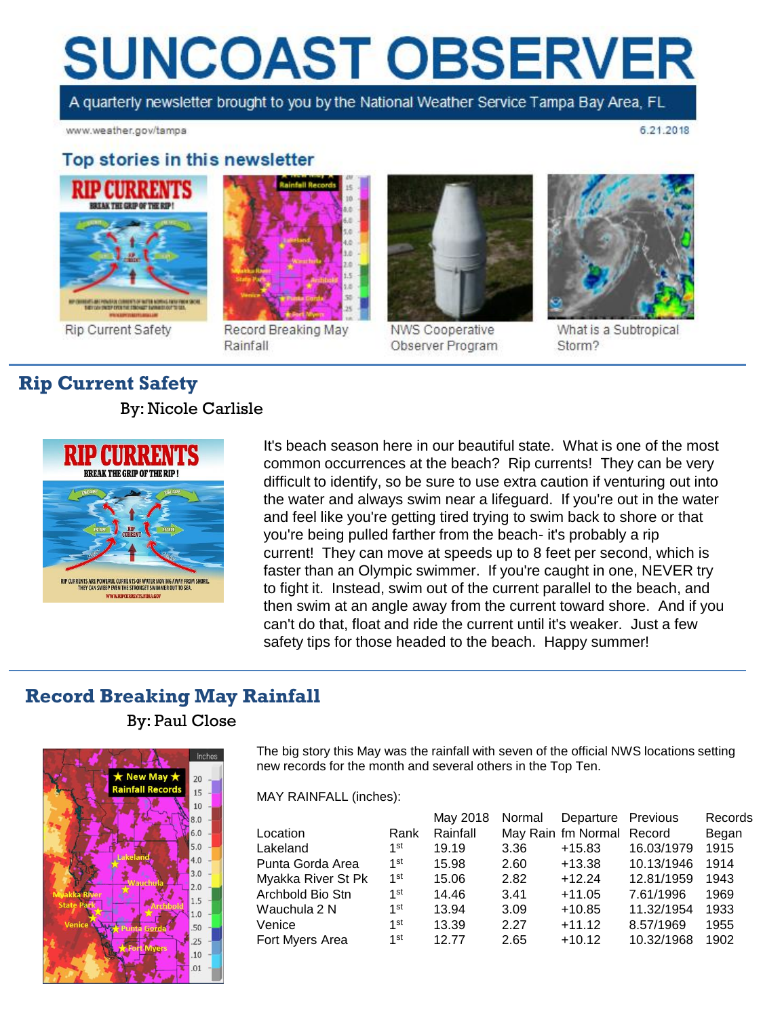# **SUNCOAST OBSERVER**

A quarterly newsletter brought to you by the National Weather Service Tampa Bay Area, FL

3.0

Record Breaking May

Rainfall

www.weather.gov/tampa

6.21.2018

#### Top stories in this newsletter



**Rip Current Safety** 

## **Rip Current Safety**

By: Nicole Carlisle



It's beach season here in our beautiful state. What is one of the most common occurrences at the beach? Rip currents! They can be very difficult to identify, so be sure to use extra caution if venturing out into the water and always swim near a lifeguard. If you're out in the water and feel like you're getting tired trying to swim back to shore or that you're being pulled farther from the beach- it's probably a rip current! They can move at speeds up to 8 feet per second, which is faster than an Olympic swimmer. If you're caught in one, NEVER try to fight it. Instead, swim out of the current parallel to the beach, and then swim at an angle away from the current toward shore. And if you can't do that, float and ride the current until it's weaker. Just a few safety tips for those headed to the beach. Happy summer!

### **Record Breaking May Rainfall**

By: Paul Close



The big story this May was the rainfall with seven of the official NWS locations setting new records for the month and several others in the Top Ten.

MAY RAINFALL (inches):

|                    |                 | May 2018 | Normal | Departure Previous        |            | Records |
|--------------------|-----------------|----------|--------|---------------------------|------------|---------|
| Location           | Rank            | Rainfall |        | May Rain fm Normal Record |            | Began   |
| Lakeland           | 1st             | 19.19    | 3.36   | $+15.83$                  | 16.03/1979 | 1915    |
| Punta Gorda Area   | 1 <sup>st</sup> | 15.98    | 2.60   | $+13.38$                  | 10.13/1946 | 1914    |
| Myakka River St Pk | 1 <sup>st</sup> | 15.06    | 2.82   | $+12.24$                  | 12.81/1959 | 1943    |
| Archbold Bio Stn   | 1 <sup>st</sup> | 14.46    | 3.41   | $+11.05$                  | 7.61/1996  | 1969    |
| Wauchula 2 N       | 1st             | 13.94    | 3.09   | $+10.85$                  | 11.32/1954 | 1933    |
| Venice             | 1st             | 13.39    | 2.27   | $+11.12$                  | 8.57/1969  | 1955    |
| Fort Myers Area    | $1$ st          | 12.77    | 2.65   | $+10.12$                  | 10.32/1968 | 1902    |



NWS Cooperative Observer Program



What is a Subtropical Storm?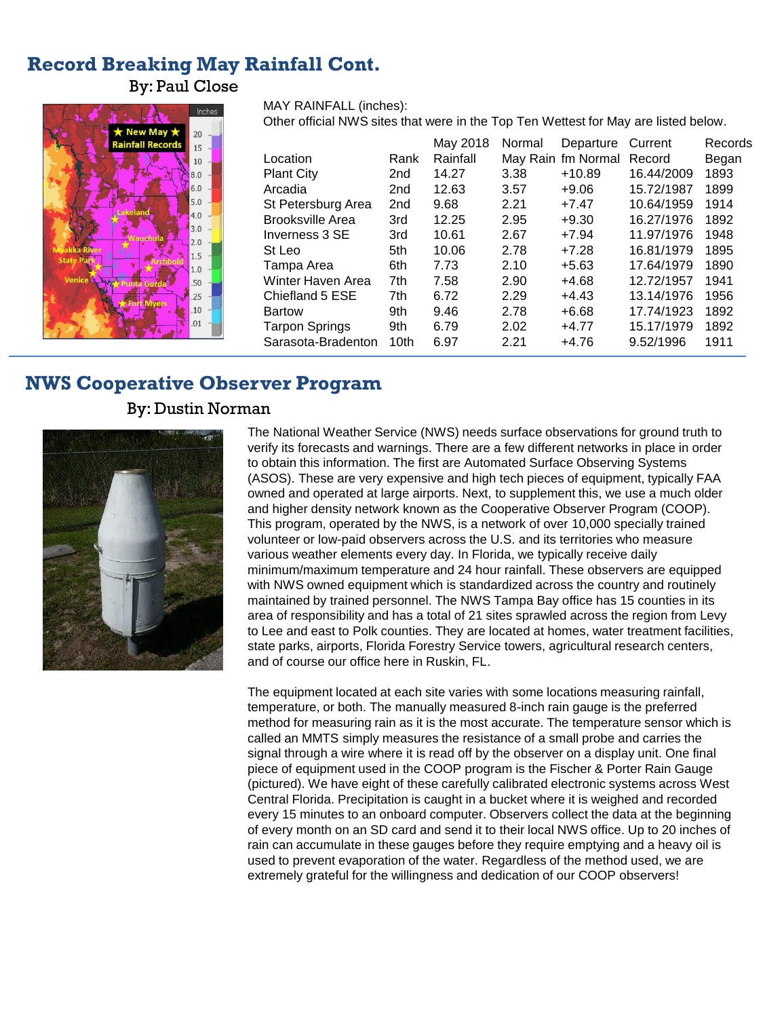#### **Record Breaking May Rainfall Cont.**

By: Paul Close



MAY RAINFALL (inches):

Other official NWS sites that were in the Top Ten Wettest for May are listed below.

|                         |                  | May 2018 | Normal | Departure          | Current    | Records |
|-------------------------|------------------|----------|--------|--------------------|------------|---------|
| Location                | Rank             | Rainfall |        | May Rain fm Normal | Record     | Began   |
| <b>Plant City</b>       | 2nd              | 14.27    | 3.38   | $+10.89$           | 16.44/2009 | 1893    |
| Arcadia                 | 2nd              | 12.63    | 3.57   | $+9.06$            | 15.72/1987 | 1899    |
| St Petersburg Area      | 2 <sub>nd</sub>  | 9.68     | 2.21   | $+7.47$            | 10.64/1959 | 1914    |
| <b>Brooksville Area</b> | 3rd              | 12.25    | 2.95   | $+9.30$            | 16.27/1976 | 1892    |
| Inverness 3 SE          | 3rd              | 10.61    | 2.67   | $+7.94$            | 11.97/1976 | 1948    |
| St Leo                  | 5th              | 10.06    | 2.78   | $+7.28$            | 16.81/1979 | 1895    |
| Tampa Area              | 6th              | 7.73     | 2.10   | $+5.63$            | 17.64/1979 | 1890    |
| Winter Haven Area       | 7th              | 7.58     | 2.90   | $+4.68$            | 12.72/1957 | 1941    |
| Chiefland 5 ESE         | 7th              | 6.72     | 2.29   | $+4.43$            | 13.14/1976 | 1956    |
| <b>Bartow</b>           | 9th              | 9.46     | 2.78   | $+6.68$            | 17.74/1923 | 1892    |
| <b>Tarpon Springs</b>   | 9th              | 6.79     | 2.02   | $+4.77$            | 15.17/1979 | 1892    |
| Sarasota-Bradenton      | 10 <sub>th</sub> | 6.97     | 2.21   | $+4.76$            | 9.52/1996  | 1911    |

#### **NWS Cooperative Observer Program**

#### By: Dustin Norman



The National Weather Service (NWS) needs surface observations for ground truth to verify its forecasts and warnings. There are a few different networks in place in order to obtain this information. The first are Automated Surface Observing Systems (ASOS). These are very expensive and high tech pieces of equipment, typically FAA owned and operated at large airports. Next, to supplement this, we use a much older and higher density network known as the Cooperative Observer Program (COOP). This program, operated by the NWS, is a network of over 10,000 specially trained volunteer or low-paid observers across the U.S. and its territories who measure various weather elements every day. In Florida, we typically receive daily minimum/maximum temperature and 24 hour rainfall. These observers are equipped with NWS owned equipment which is standardized across the country and routinely maintained by trained personnel. The NWS Tampa Bay office has 15 counties in its area of responsibility and has a total of 21 sites sprawled across the region from Levy to Lee and east to Polk counties. They are located at homes, water treatment facilities, state parks, airports, Florida Forestry Service towers, agricultural research centers, and of course our office here in Ruskin, FL.

The equipment located at each site varies with some locations measuring rainfall, temperature, or both. The manually measured 8-inch rain gauge is the preferred method for measuring rain as it is the most accurate. The temperature sensor which is called an MMTS simply measures the resistance of a small probe and carries the signal through a wire where it is read off by the observer on a display unit. One final piece of equipment used in the COOP program is the Fischer & Porter Rain Gauge (pictured). We have eight of these carefully calibrated electronic systems across West Central Florida. Precipitation is caught in a bucket where it is weighed and recorded every 15 minutes to an onboard computer. Observers collect the data at the beginning of every month on an SD card and send it to their local NWS office. Up to 20 inches of rain can accumulate in these gauges before they require emptying and a heavy oil is used to prevent evaporation of the water. Regardless of the method used, we are extremely grateful for the willingness and dedication of our COOP observers!